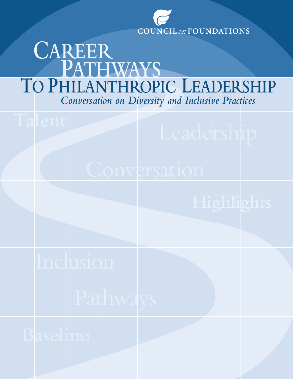

# *Conversation on Diversity and Inclusive Practices* **TO PHILANTHROPIC LEADERSHIP PATHWAYS CAREER**

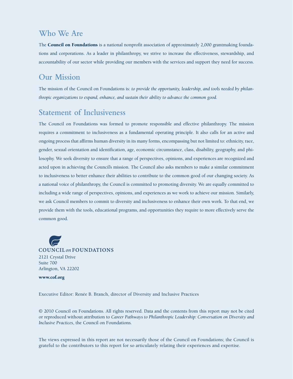## **Who We Are**

The **Council on Foundations** is a national nonprofit association of approximately 2,000 grantmaking foundations and corporations. As a leader in philanthropy, we strive to increase the effectiveness, stewardship, and accountability of our sector while providing our members with the services and support they need for success.

## **Our Mission**

The mission of the Council on Foundations is: *to provide the opportunity, leadership, and tools needed by philanthropic organizations to expand, enhance, and sustain their ability to advance the common good.*

## **Statement of Inclusiveness**

The Council on Foundations was formed to promote responsible and effective philanthropy. The mission requires a commitment to inclusiveness as a fundamental operating principle. It also calls for an active and ongoing process that affirms human diversity in its many forms, encompassing but not limited to: ethnicity, race, gender, sexual orientation and identification, age, economic circumstance, class, disability, geography, and philosophy. We seek diversity to ensure that a range of perspectives, opinions, and experiences are recognized and acted upon in achieving the Council's mission. The Council also asks members to make a similar commitment to inclusiveness to better enhance their abilities to contribute to the common good of our changing society. As a national voice of philanthropy, the Council is committed to promoting diversity. We are equally committed to including a wide range of perspectives, opinions, and experiences as we work to achieve our mission. Similarly, we ask Council members to commit to diversity and inclusiveness to enhance their own work. To that end, we provide them with the tools, educational programs, and opportunities they require to more effectively serve the common good.

**COUNCIL on FOUNDATIONS** 2121 Crystal Drive Suite 700 Arlington, VA 22202

**<www.cof.org>**

Executive Editor: Renée B. Branch, director of Diversity and Inclusive Practices

© 2010 Council on Foundations. All rights reserved. Data and the contents from this report may not be cited or reproduced without attribution to *Career Pathways to Philanthropic Leadership: Conversation on Diversity and Inclusive Practices*, the Council on Foundations.

The views expressed in this report are not necessarily those of the Council on Foundations; the Council is grateful to the contributors to this report for so articulately relating their experiences and expertise.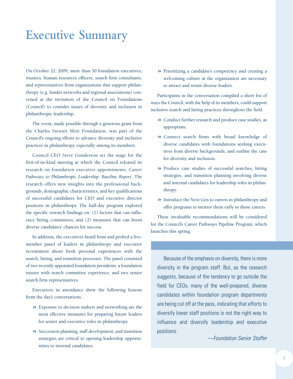## **Executive Summary**

On October 22, 2009, more than 50 foundation executives, trustees, human resources officers, search firm consultants, and representatives from organizations that support philanthropy (e.g. funder networks and regional associations) convened at the invitation of the Council on Foundations (Council) to consider issues of diversity and inclusion in philanthropic leadership.

The event, made possible through a generous grant from the Charles Stewart Mott Foundation, was part of the Council's ongoing efforts to advance diversity and [inclusive](http://www.cof.org/programsandservices/diversity/index.cfm) practices in [philanthropy,](http://www.cof.org/programsandservices/diversity/index.cfm) especially among its members.

Council CEO Steve Gunderson set the stage for the first-of-its-kind meeting at which the Council released its research on foundation executive appointments, *[Career](http://www.cof.org/programsandservices/diversity/index.cfm) Pathways to [Philanthropic](http://www.cof.org/programsandservices/diversity/index.cfm) Leadership: Baseline Report*. The research offers new insights into the professional backgrounds, demographic characteristics, and key qualifications of successful candidates for CEO and executive director positions in philanthropy. The half-day program explored the specific research findings on: (1) factors that can influence hiring committees; and (2) measures that can boost diverse candidates' chances for success.

In addition, the executives heard from and probed a fivemember panel of leaders in philanthropy and executive recruitment about fresh personal experiences with the search, hiring, and transition processes. The panel consisted of two recently appointed foundation presidents, a foundation trustee with search committee experience, and two senior search firm representatives.

Executives in attendance drew the following lessons from the day's conversations.

- 8 Exposure to decision makers and networking are the most effective measures for preparing future leaders for senior and executive roles in philanthropy.
- $\blacktriangleright$  Succession planning, staff development, and transition strategies are critical to opening leadership opportunities to internal candidates.

8 Prioritizing a candidate's competency and creating a welcoming culture at the organization are necessary to attract and retain diverse leaders.

Participants in the conversation compiled a short list of waysthe Council, with the help of its members, could support inclusive search and hiring practices throughout the field:

- 8 Conduct further research and produce case studies, as appropriate.
- 8 Connect search firms with broad knowledge of diverse candidates with foundations seeking executives from diverse backgrounds, and outline the case for diversity and inclusion.
- 8 Produce case studies of successful searches, hiring strategies, and transition planning involving diverse and internal candidates for leadership roles in philanthropy.
- 8 Introduce the Next Gen to careers in philanthropy and offer programs to mentor them early in those careers.

These invaluable recommendations will be considered for the Council's Career Pathways Pipeline Program, which launches this spring.

## Because of the emphasis on diversity, there is more diversity in the program staff. But, as the research suggests, because of the tendency to go outside the field for CEOs, many of the well-prepared, diverse candidates within foundation program departments are being cut off at the pass, indicating that efforts to diversify lower staff positions is not the right way to influence and diversify leadership and executive positions.

*—Foundation Senior Staffer*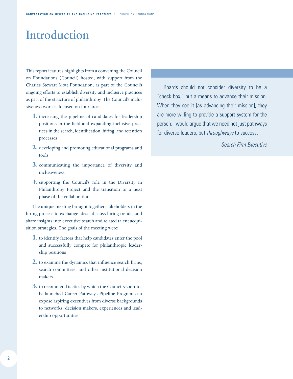## **Introduction**

This report features highlights from a convening the Council on Foundations (Council) hosted, with support from the Charles Stewart Mott Foundation, as part of the Council's ongoing efforts to establish diversity and inclusive practices as part of the structure of philanthropy. The Council's inclusiveness work is focused on four areas:

- **1.** increasing the pipeline of candidates for leadership positions in the field and expanding inclusive practices in the search, identification, hiring, and retention processes
- **2.** developing and promoting educational programs and tools
- **3.** communicating the importance of diversity and inclusiveness
- **4.** supporting the Council's role in the Diversity in Philanthropy Project and the transition to a next phase of the collaboration

The unique meeting brought together stakeholders in the hiring process to exchange ideas, discuss hiring trends, and share insights into executive search and related talent acquisition strategies. The goals of the meeting were:

- **1.** to identify factors that help candidates enter the pool and successfully compete for philanthropic leadership positions
- **2.** to examine the dynamics that influence search firms, search committees, and other institutional decision makers
- **3.** to recommend tactics by which the Council's soon-tobe-launched Career Pathways Pipeline Program can expose aspiring executives from diverse backgrounds to networks, decision makers, experiences and leadership opportunities

Boards should not consider diversity to be a "check box," but a means to advance their mission. When they see it [as advancing their mission], they are more willing to provide a support system for the person. I would argue that we need not just pathways for diverse leaders, but *throughways* to success.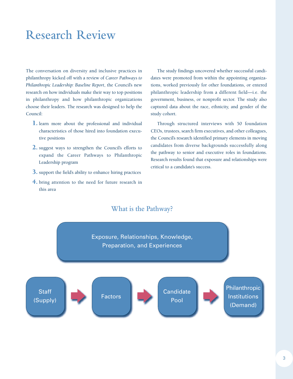## **Research Review**

The conversation on diversity and inclusive practices in philanthropy kicked off with a review of *Career Pathways to Philanthropic Leadership: Baseline Report*, the Council's new research on how individuals make their way to top positions in philanthropy and how philanthropic organizations choose their leaders. The research was designed to help the Council:

- **1.** learn more about the professional and individual characteristics of those hired into foundation executive positions
- **2.** suggest ways to strengthen the Council's efforts to expand the Career Pathways to Philanthropic Leadership program
- **3.** support the field's ability to enhance hiring practices
- **4.** bring attention to the need for future research in this area

The study findings uncovered whether successful candidates were promoted from within the appointing organizations, worked previously for other foundations, or entered philanthropic leadership from a different field—i.e. the government, business, or nonprofit sector. The study also captured data about the race, ethnicity, and gender of the study cohort.

Through structured interviews with 50 foundation CEOs, trustees, search firm executives, and other colleagues, the Council's research identified primary elements in moving candidates from diverse backgrounds successfully along the pathway to senior and executive roles in foundations. Research results found that exposure and relationships were critical to a candidate's success.

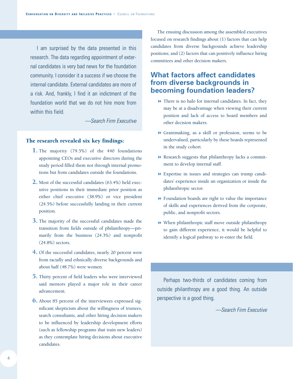I am surprised by the data presented in this research. The data regarding appointment of external candidates is very bad news for the foundation community. I consider it a success if we choose the internal candidate. External candidates are more of a risk. And, frankly, I find it an indictment of the foundation world that we do not hire more from within this field.

*—Search Firm Executive*

#### **The research revealed six key findings:**

- **1.** The majority (79.5%) of the 440 foundations appointing CEOs and executive directors during the study period filled them not through internal promotions but from candidates outside the foundations.
- **2.** Most of the successful candidates (63.4%) held executive positions in their immediate prior position as either chief executive (38.9%) or vice president (24.5%) before successfully landing in their current position.
- **3.** The majority of the successful candidates made the transition from fields outside of philanthropy—primarily from the business (24.3%) and nonprofit (24.8%) sectors.
- **4.** Of the successful candidates, nearly 20 percent were from racially and ethnically diverse backgrounds and about half (48.7%) were women.
- **5.** Thirty percent of field leaders who were interviewed said mentors played a major role in their career advancement.
- **6.** About 85 percent of the interviewees expressed significant skepticism about the willingness of trustees, search consultants, and other hiring decision makers to be influenced by leadership development efforts (such as fellowship programs that train new leaders) as they contemplate hiring decisions about executive candidates.

The ensuing discussion among the assembled executives focused on research findings about (1) factors that can help candidates from diverse backgrounds achieve leadership positions; and (2) factors that can positively influence hiring committees and other decision makers.

### **What factors affect candidates from diverse backgrounds in becoming foundation leaders?**

- $\blacktriangleright$  There is no halo for internal candidates. In fact, they may be at a disadvantage when viewing their current position and lack of access to board members and other decision makers.
- 8 Grantmaking, as a skill or profession, seems to be undervalued, particularly by these boards represented in the study cohort.
- 8 Research suggests that philanthropy lacks a commitment to develop internal staff.
- 8 Expertise in issues and strategies can trump candidates' experience inside an organization or inside the philanthropic sector.
- 8 Foundation boards are right to value the importance of skills and experiences derived from the corporate, public, and nonprofit sectors.
- 8 When philanthropic staff move outside philanthropy to gain different experience, it would be helpful to identify a logical pathway to re-enter the field.

Perhaps two-thirds of candidates coming from outside philanthropy are a good thing. An outside perspective is a good thing.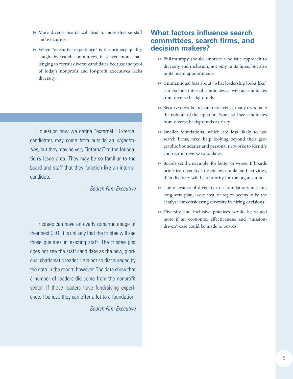- 8 More diverse boards will lead to more diverse staff and executives.
- $\blacktriangleright$  When "executive experience" is the primary quality sought by search committees, it is even more challenging to recruit diverse candidates because the pool of today's nonprofit and for-profit executives lacks diversity.

I question how we define "external." External candidates may come from outside an *organization*, but they may be very "internal" to the foundation's issue area. They may be so familiar to the board and staff that they function like an internal candidate.

*—Search Firm Executive*

Trustees can have an overly romantic image of their next CEO. It is unlikely that the trustee will see those qualities in existing staff. The trustee just does not see the staff candidate as the new, glorious, charismatic leader. I am not so discouraged by the data in the report, however. The data show that a number of leaders did come from the nonprofit sector. If these leaders have fundraising experience, I believe they can offer a lot to a foundation.

*—Search Firm Executive*

### **What factors influence search committees, search firms, and decision makers?**

- $\blacktriangleright$  Philanthropy should embrace a holistic approach to diversity and inclusion, not only in its hires, but also in its board appointments.
- 8 Unintentional bias about "what leadership looks like" can exclude internal candidates as well as candidates from diverse backgrounds.
- 8 Because most boards are risk-averse, many try to take the risk out of the equation. Some still see candidates from diverse backgrounds as risky.
- 8 Smaller foundations, which are less likely to use search firms, need help looking beyond their geographic boundaries and personal networks to identify and recruit diverse candidates.
- 8 Boards set the example, for better or worse. If boards prioritize diversity in their own ranks and activities, then diversity will be a priority for the organization.
- $\blacktriangleright$  The relevance of diversity to a foundation's mission, long-term plan, issue area, or region seems to be the catalyst for considering diversity in hiring decisions.
- 8 Diversity and inclusive practices would be valued more if an economic, effectiveness, and "missiondriven" case could be made to boards.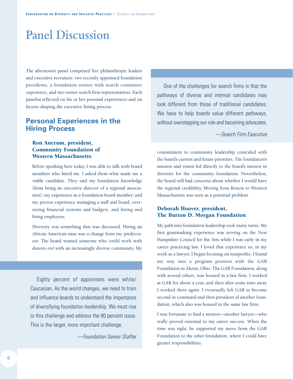## **Panel Discussion**

The afternoon's panel comprised five philanthropic leaders and executive recruiters: two recently appointed foundation presidents, a foundation trustee with search committee experience, and two senior search firm representatives. Each panelist reflected on his or her personal experiences and on factors shaping the executive hiring process.

### **Personal Experiences in the Hiring Process**

#### **Ron Ancrum, president, Community Foundation of Western Massachusetts**

Before speaking here today, I was able to talk with board members who hired me. I asked them what made me a viable candidate. They said my foundation knowledge (from being an executive director of a regional association); my experience as a foundation board member; and my proven experience managing a staff and board, overseeing financial systems and budgets, and hiring and firing employees.

Diversity was something that was discussed. Hiring an African American man was a change from my predecessor. The board wanted someone who could work with donors *and* with an increasingly diverse community. My

Eighty percent of appointees were white/ Caucasian. As the world changes, we need to train and influence boards to understand the importance of diversifying foundation leadership. We must rise to this challenge and address the 80 percent issue. This is the larger, more important challenge.

*—Foundation Senior Staffer*

One of the challenges for search firms is that the pathways of diverse and internal candidates may look different from those of traditional candidates. We have to help boards value different pathways, without overstepping our role and becoming advocates.

*—Search Firm Executive*

commitment to community leadership coincided with the board's current and future priorities. The foundation's mission and vision led directly to the board's interest in diversity for the community foundation. Nevertheless, the board still had concerns about whether I would have the regional credibility. Moving from Boston to Western Massachusetts was seen as a potential problem.

#### **Deborah Hoover, president, The Burton D. Morgan Foundation**

My path into foundation leadership took many turns. My first grantmaking experience was serving on the New Hampshire Council for the Arts while I was early in my career practicing law. I loved that experience so, in my work as a lawyer, I began focusing on nonprofits. I found my way into a program position with the GAR Foundation in Akron, Ohio. The GAR Foundation, along with several others, was housed in a law firm. I worked at GAR for about a year, and then after some time away I worked there again. I eventually left GAR to become second in command and then president of another foundation, which also was housed in the same law firm.

I was fortunate to find a mentor—another lawyer—who really proved essential to my career success. When the time was right, he supported my move from the GAR Foundation to the other foundation, where I could have greater responsibilities.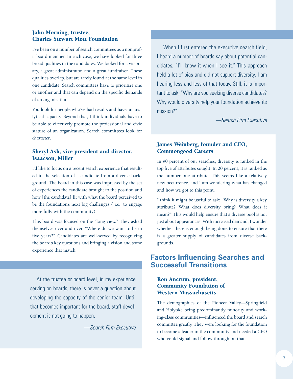#### **John Morning, trustee, Charles Stewart Mott Foundation**

I've been on a number of search committees as a nonprofit board member. In each case, we have looked for three broad qualities in the candidates. We looked for a visionary, a great administrator, and a great fundraiser. These qualities overlap, but are rarely found at the same level in one candidate. Search committees have to prioritize one or another and that can depend on the specific demands of an organization.

You look for people who've had results and have an analytical capacity. Beyond that, I think individuals have to be able to effectively promote the professional and civic stature of an organization. Search committees look for *character*.

#### **Sheryl Ash, vice president and director, Isaacson, Miller**

I'd like to focus on a recent search experience that resulted in the selection of a candidate from a diverse background. The board in this case was impressed by the set of experiences the candidate brought to the position and how [the candidate] fit with what the board perceived to be the foundation's next big challenges ( i.e., to engage more fully with the community).

This board was focused on the "long view." They asked themselves over and over, "Where do we want to be in five years?" Candidates are well-served by recognizing the board's key questions and bringing a vision and some experience that match.

At the trustee or board level, in my experience serving on boards, there is never a question about developing the capacity of the senior team. Until that becomes important for the board, staff development is not going to happen.

*—Search Firm Executive*

When I first entered the executive search field, I heard a number of boards say about potential candidates, "I'll know it when I see it." This approach held a lot of bias and did not support diversity. I am hearing less and less of that today. Still, it is important to ask,"Why are you seeking diverse candidates? Why would diversity help your foundation achieve its mission?"

*—Search Firm Executive*

#### **James Weinberg, founder and CEO, Commongood Careers**

In 90 percent of our searches, diversity is ranked in the top five of attributes sought. In 20 percent, it is ranked as the number one attribute. This seems like a relatively new occurrence, and I am wondering what has changed and how we got to this point.

I think it might be useful to ask: "Why is diversity a key attribute? What does diversity bring? What does it mean?" This would help ensure that a diverse pool is not just about appearances. With increased demand, I wonder whether there is enough being done to ensure that there is a greater supply of candidates from diverse backgrounds.

### **Factors Influencing Searches and Successful Transitions**

#### **Ron Ancrum, president, Community Foundation of Western Massachusetts**

The demographics of the Pioneer Valley—Springfield and Holyoke being predominantly minority and working-class communities—influenced the board and search committee greatly. They were looking for the foundation to become a leader in the community and needed a CEO who could signal and follow through on that.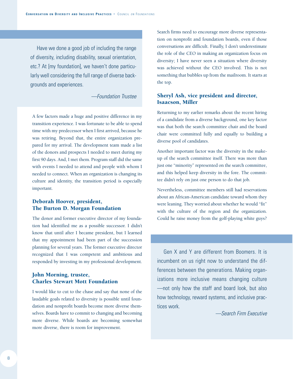Have we done a good job of including the range of diversity, including disability, sexual orientation, etc.? At [my foundation], we haven't done particularly well considering the full range of diverse backgrounds and experiences.

*—Foundation Trustee*

A few factors made a huge and positive difference in my transition experience. I was fortunate to be able to spend time with my predecessor when I first arrived, because he was retiring. Beyond that, the entire organization prepared for my arrival. The development team made a list of the donors and prospects I needed to meet during my first 90 days. And, I met them. Program staff did the same with events I needed to attend and people with whom I needed to connect. When an organization is changing its culture and identity, the transition period is especially important.

#### **Deborah Hoover, president, The Burton D. Morgan Foundation**

The donor and former executive director of my foundation had identified me as a possible successor. I didn't know that until after I became president, but I learned that my appointment had been part of the succession planning for several years. The former executive director recognized that I was competent and ambitious and responded by investing in my professional development.

#### **John Morning, trustee, Charles Stewart Mott Foundation**

I would like to cut to the chase and say that none of the laudable goals related to diversity is possible until foundation and nonprofit boards become more diverse themselves. Boards have to commit to changing and becoming more diverse. While boards are becoming somewhat more diverse, there is room for improvement.

Search firms need to encourage more diverse representation on nonprofit and foundation boards, even if those conversations are difficult. Finally, I don't underestimate the role of the CEO in making an organization focus on diversity; I have never seen a situation where diversity was achieved without the CEO involved. This is not something that bubbles up from the mailroom. It starts at the top.

#### **Sheryl Ash, vice president and director, Isaacson, Miller**

Returning to my earlier remarks about the recent hiring of a candidate from a diverse background, one key factor was that both the search committee chair and the board chair were committed fully and equally to building a diverse pool of candidates.

Another important factor was the diversity in the makeup of the search committee itself. There was more than just one "minority" represented on the search committee, and this helped keep diversity in the fore. The committee didn't rely on just one person to do that job.

Nevertheless, committee members still had reservations about an African-American candidate toward whom they were leaning. They worried about whether he would "fit" with the culture of the region and the organization. Could he raise money from the golf-playing white guys?

Gen X and Y are different from Boomers. It is incumbent on us right now to understand the differences between the generations. Making organizations more inclusive means changing culture —not only how the staff and board look, but also how technology, reward systems, and inclusive practices work.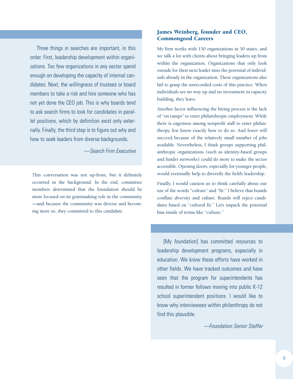Three things in searches are important, in this order. First, leadership development within organizations. Too few organizations in any sector spend enough on developing the capacity of internal candidates. Next, the willingness of trustees or board members to take a risk and hire someone who has not yet done the CEO job. This is why boards tend to ask search firms to look for candidates in parallel positions, which by definition exist only externally. Finally, the third step is to figure out why and how to seek leaders from diverse backgrounds.

*—Search Firm Executive*

This conversation was not up-front, but it definitely occurred in the background. In the end, committee members determined that the foundation should be more focused on its grantmaking role in the community —and because the community was diverse and becoming more so, they committed to this candidate.

#### **James Weinberg, founder and CEO, Commongood Careers**

My firm works with 150 organizations in 50 states, and we talk a lot with clients about bringing leaders up from within the organization. Organizations that only look outside for their next leader miss the potential of individuals already in the organization. These organizations also fail to grasp the unrecorded costs of this practice. When individuals see no way up and no investment in capacity building, they leave.

Another factor influencing the hiring process is the lack of "on ramps" to enter philanthropic employment. While there is eagerness among nonprofit staff to enter philanthropy, few know exactly how to do so. And fewer will succeed because of the relatively small number of jobs available. Nevertheless, I think groups supporting philanthropic organizations (such as identity-based groups and funder networks) could do more to make the sector accessible. Opening doors, especially for younger people, would eventually help to diversify the field's leadership.

Finally, I would caution us to think carefully about our use of the words "culture" and "fit." I believe that boards conflate *diversity* and *culture*. Boards will reject candidates based on "cultural fit." Let's unpack the potential bias inside of terms like "culture."

[My foundation] has committed resources to leadership development programs, especially in education. We know these efforts have worked in other fields. We have tracked outcomes and have seen that the program for superintendents has resulted in former fellows moving into public K-12 school superintendent positions. I would like to know why interviewees within philanthropy do not find this plausible.

*—Foundation Senior Staffer*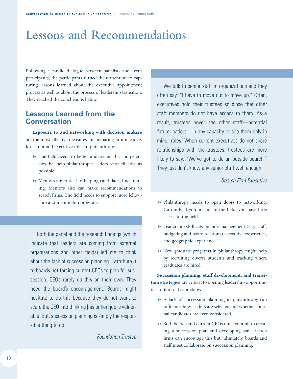## **Lessons and Recommendations**

Following a candid dialogue between panelists and event participants, the participants turned their attention to capturing lessons learned about the executive appointment process as well as about the process of leadership transition. They reached the conclusions below.

### **Lessons Learned from the Conversation**

**Exposure to and networking with decision makers** are the most effective measures for preparing future leaders for senior and executive roles in philanthropy.

- $\blacktriangleright$  The field needs to better understand the competencies that help philanthropic leaders be as effective as possible.
- 8 Mentors are critical to helping candidates find training. Mentors also can make recommendations to search firms. The field needs to support more fellowship and mentorship programs.  $\rightarrow$  Philanthropy needs to open doors to networking.

Both the panel and the research findings (which indicate that leaders are coming from external organizations and other fields) led me to think about the lack of succession planning. I attribute it to boards not forcing current CEOs to plan for succession. CEOs rarely do this on their own. They need the board's encouragement. Boards might hesitate to do this because they do not want to scare the CEO into thinking [his or her] job is vulnerable. But, succession planning is simply the responsible thing to do.

*—Foundation Trustee*

We talk to senior staff in organizations and they often say, "I have to move out to move up." Often, executives hold their trustees so close that other staff members do not have access to them. As a result, trustees never see other staff—potential future leaders—in any capacity or see them only in minor roles. When current executives do not share relationships with the trustees, trustees are more likely to say: "We've got to do an outside search." They just don't know any senior staff well enough.

*—Search Firm Executive*

- Currently, if you are not in the field, you have little access to the field.
- 8 Leadership skill sets include management (e.g., staff, budgeting and board relations), executive experience, and geographic experience.
- $\blacktriangleright$  New graduate programs in philanthropy might help by recruiting diverse students and tracking where graduates are hired.

**Succession planning, staff development, and transition strategies** are critical to opening leadership opportunities to internal candidates.

- 8 A lack of succession planning in philanthropy can influence how leaders are selected and whether internal candidates are even considered.
- 8 Both boards and current CEOs must commit to creating a succession plan and developing staff. Search firms can encourage this but, ultimately, boards and staff must collaborate on succession planning.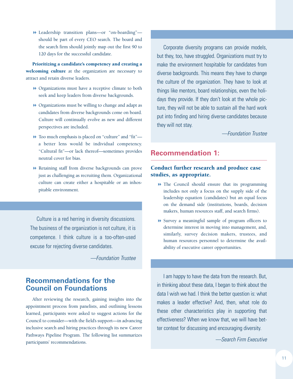8 Leadership transition plans—or "on-boarding" should be part of every CEO search. The board and the search firm should jointly map out the first 90 to 120 days for the successful candidate.

**Prioritizing a candidate's competency and creating a welcoming culture** at the organization are necessary to attract and retain diverse leaders.

- 8 Organizations must have a receptive climate to both seek and keep leaders from diverse backgrounds.
- 8 Organizations must be willing to change and adapt as candidates from diverse backgrounds come on board. Culture will continually evolve as new and different perspectives are included.
- $\blacktriangleright$  Too much emphasis is placed on "culture" and "fit" a better lens would be individual competency. "Cultural fit"—or lack thereof—sometimes provides neutral cover for bias.
- 8 Retaining staff from diverse backgrounds can prove just as challenging as recruiting them. Organizational culture can create either a hospitable or an inhospitable environment.

Culture is a red herring in diversity discussions. The business of the organization is not culture, it is competence. I think culture is a too-often-used excuse for rejecting diverse candidates.

*—Foundation Trustee*

### **Recommendations for the Council on Foundations**

After reviewing the research, gaining insights into the appointment process from panelists, and outlining lessons learned, participants were asked to suggest actions for the Council to consider—with the field's support—in advancing inclusive search and hiring practices through its new Career Pathways Pipeline Program. The following list summarizes participants' recommendations.

Corporate diversity programs can provide models, but they, too, have struggled. Organizations must try to make the environment hospitable for candidates from diverse backgrounds. This means they have to change the culture of the organization. They have to look at things like mentors, board relationships, even the holidays they provide. If they don't look at the whole picture, they will not be able to sustain all the hard work put into finding and hiring diverse candidates because they will not stay.

*—Foundation Trustee*

#### **Recommendation 1:**

#### **Conduct further research and produce case studies, as appropriate.**

- 8 The Council should ensure that its programming includes not only a focus on the supply side of the leadership equation (candidates) but an equal focus on the demand side (institutions, boards, decision makers, human resources staff, and search firms).
- 8 Survey a meaningful sample of program officers to determine interest in moving into management, and, similarly, survey decision makers, trustees, and human resources personnel to determine the availability of executive career opportunities.

I am happy to have the data from the research. But, in thinking about these data, I began to think about the data I wish we had. I think the better question is: what makes a leader effective? And, then, what role do these other characteristics play in supporting that effectiveness? When we know that, we will have better context for discussing and encouraging diversity.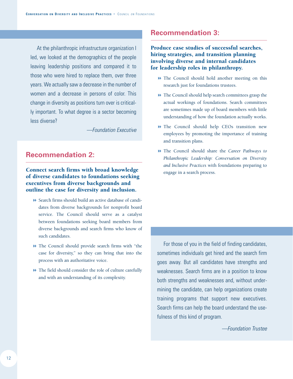At the philanthropic infrastructure organization I led, we looked at the demographics of the people leaving leadership positions and compared it to those who were hired to replace them, over three years. We actually saw a decrease in the number of women and a decrease in persons of color. This change in diversity as positions turn over is critically important. To what degree is a sector becoming less diverse?

*—Foundation Executive*

## **Recommendation 2:**

#### **Connect search firms with broad knowledge of diverse candidates to foundations seeking executives from diverse backgrounds and outline the case for diversity and inclusion.**

- 8 Search firms should build an active database of candidates from diverse backgrounds for nonprofit board service. The Council should serve as a catalyst between foundations seeking board members from diverse backgrounds and search firms who know of such candidates.
- 8 The Council should provide search firms with "the case for diversity," so they can bring that into the process with an authoritative voice.
- $\blacktriangleright$  The field should consider the role of culture carefully and with an understanding of its complexity.

## **Recommendation 3:**

**Produce case studies of successful searches, hiring strategies, and transition planning involving diverse and internal candidates for leadership roles in philanthropy.**

- $\blacktriangleright$  The Council should hold another meeting on this research just for foundations trustees.
- $\blacktriangleright$  The Council should help search committees grasp the actual workings of foundations. Search committees are sometimes made up of board members with little understanding of how the foundation actually works.
- 8 The Council should help CEOs transition new employees by promoting the importance of training and transition plans.
- 8 The Council should share the *Career Pathways to Philanthropic Leadership: Conversation on Diversity and Inclusive Practices* with foundations preparing to engage in a search process.

For those of you in the field of finding candidates, sometimes individuals get hired and the search firm goes away. But all candidates have strengths and weaknesses. Search firms are in a position to know both strengths and weaknesses and, without undermining the candidate, can help organizations create training programs that support new executives. Search firms can help the board understand the usefulness of this kind of program.

*—Foundation Trustee*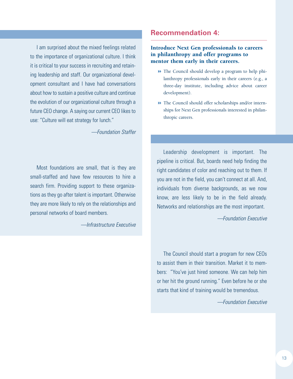I am surprised about the mixed feelings related to the importance of organizational culture. I think it is critical to your success in recruiting and retaining leadership and staff. Our organizational development consultant and I have had conversations about how to sustain a positive culture and continue the evolution of our organizational culture through a future CEO change. A saying our current CEO likes to use: "Culture will eat strategy for lunch."

*—Foundation Staffer*

Most foundations are small, that is they are small-staffed and have few resources to hire a search firm. Providing support to these organizations as they go after talent is important. Otherwise they are more likely to rely on the relationships and personal networks of board members.

*—Infrastructure Executive*

### **Recommendation 4:**

#### **Introduce Next Gen professionals to careers in philanthropy and offer programs to mentor them early in their careers.**

- 8 The Council should develop a program to help philanthropy professionals early in their careers (e.g., a three-day institute, including advice about career development).
- $\blacktriangleright$  The Council should offer scholarships and/or internships for Next Gen professionals interested in philanthropic careers.

Leadership development is important. The pipeline is critical. But, boards need help finding the right candidates of color and reaching out to them. If you are not in the field, you can't connect at all. And, individuals from diverse backgrounds, as we now know, are less likely to be in the field already. Networks and relationships are the most important.

*—Foundation Executive*

The Council should start a program for new CEOs to assist them in their transition. Market it to members: "You've just hired someone. We can help him or her hit the ground running." Even before he or she starts that kind of training would be tremendous.

*—Foundation Executive*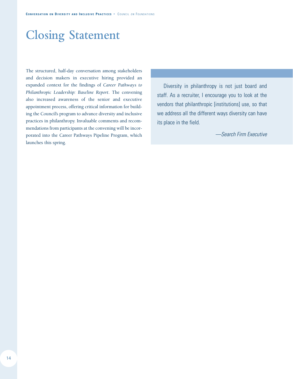## **Closing Statement**

The structured, half-day conversation among stakeholders and decision makers in executive hiring provided an expanded context for the findings of *Career Pathways to Philanthropic Leadership: Baseline Report*. The convening also increased awareness of the senior and executive appointment process, offering critical information for building the Council's program to advance diversity and inclusive practices in philanthropy. Invaluable comments and recommendations from participants at the convening will be incorporated into the Career Pathways Pipeline Program, which launches this spring.

Diversity in philanthropy is not just board and staff. As a recruiter, I encourage you to look at the vendors that philanthropic [institutions] use, so that we address all the different ways diversity can have its place in the field.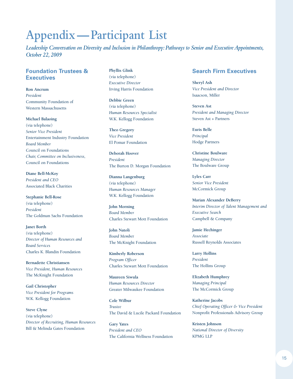## **Appendix—Participant List**

*Leadership Conversation on Diversity and Inclusion in Philanthropy:Pathways to Senior and Executive Appointments, October 22, 2009*

#### **Foundation Trustees & Executives**

**Ron Ancrum** *President* Community Foundation of Western Massachusetts

#### **Michael Balaoing**

(via telephone) *Senior Vice President* Entertainment Industry Foundation *Board Member* Council on Foundations *Chair, Committee on Inclusiveness,* Council on Foundations

**Diane Bell-McKoy** *President and CEO* Associated Black Charities

**Stephanie Bell-Rose** (via telephone) *President* The Goldman Sachs Foundation

**Janet Borth** (via telephone) *Director of Human Resources and Board Services* Charles K. Blandin Foundation

**Bernadette Christiansen** *Vice President, Human Resources* The McKnight Foundation

**Gail Christopher** *Vice President for Programs* W.K. Kellogg Foundation

**Steve Clyne** (via telephone) *Director of Recruiting, Human Resources* Bill & Melinda Gates Foundation

**Phyllis Glink** (via telephone) *Executive Director* Irving Harris Foundation

**Debbie Green** (via telephone) *Human Resources Specialist* W.K. Kellogg Foundation

**Theo Gregory** *Vice President* El Pomar Foundation

**Deborah Hoover** *President* The Burton D. Morgan Foundation

**Dianna Langenburg** (via telephone) *Human Resources Manager* W.K. Kellogg Foundation

**John Morning** *Board Member* Charles Stewart Mott Foundation

**John Natoli** *Board Membe*r The McKnight Foundation

**Kimberly Roberson** *Program Officer* Charles Stewart Mott Foundation

**Maureen Siwula** *Human Resources Director* Greater Milwaukee Foundation

**Cole Wilbur** *Trustee* The David & Lucile Packard Foundation

**Gary Yates** *President and CEO* The California Wellness Foundation

#### **Search Firm Executives**

**Sheryl Ash** *Vice President and Director* Isaacson, Miller

**Steven Ast** *President and Managing Director* Steven Ast + Partners

**Euris Belle** *Principal* Hodge Partners

**Christine Boulware** *Managing Director* The Boulware Group

**Lyles Carr** *Senior Vice President* McCormick Group

**Marian Alexander DeBerry** *Interim Director of Talent Management and Executive Search* Campbell & Company

**Jamie Hechinger** *Associate* Russell Reynolds Associates

**Larry Hollins** *President* The Hollins Group

**Elizabeth Humphrey** *Managing Principal* The McCormick Group

**Katherine Jacobs** *Chief Operating Officer & Vice President* Nonprofit Professionals Advisory Group

**Kristen Johnson** *National Director of Diversity* KPMG LLP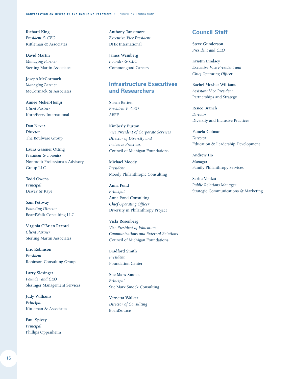**Richard King** *President & CEO* Kittleman & Associates

**David Martin** *Managing Partner* Sterling Martin Associates

**Joseph McCormack** *Managing Partner* McCormack & Associates

**Aimee Meher-Homji** *Client Partner* Korn/Ferry International

**Dan Nevez** *Director* The Boulware Group

**Laura Gassner Otting** *President & Founder* Nonprofit Professionals Advisory Group LLC

**Todd Owens** *Principal* Dewey & Kaye

**Sam Pettway** *Founding Director* BoardWalk Consulting LLC

**Virginia O'Brien Record** *Client Partner* Sterling Martin Associates

**Eric Robinson** *President* Robinson Consulting Group

**Larry Slesinger** *Founder and CEO* Slesinger Management Services

**Judy Williams** *Principal* Kittleman & Associates

**Paul Spivey** *Principal* Phillips Oppenheim **Anthony Tansimor**e *Executive Vice President* DHR International

**James Weinberg** *Founder & CEO* Commongood Careers

#### **Infrastructure Executives and Researchers**

**Susan Batten** *President & CEO* ABFE

**Kimberly Burton** *Vice President of Corporate Services Director of Diversity and Inclusive Practices* Council of Michigan Foundations

**Michael Moody** *President* Moody Philanthropic Consulting

**Anna Pond** *Principal* Anna Pond Consulting *Chief Operating Officer* Diversity in Philanthropy Project

**Vicki Rosenberg** *Vice President of Education, Communications and External Relations* Council of Michigan Foundations

**Bradford Smith** *President* Foundation Center

**Sue Marx Smock** *Principal* Sue Marx Smock Consulting

**Vernetta Walker** *Director of Consulting* **BoardSource** 

#### **Council Staff**

**Steve Gunderson** *President and CEO*

**Kristin Lindsey** *Executive Vice President and Chief Operating Officer*

**Rachel Mosher-Williams** *Assistant Vice President* Partnerships and Strategy

**Renée Branch** *Director* Diversity and Inclusive Practices

**Pamela Colman** *Director* Education & Leadership Development

**Andrew Ho** *Manager* Family Philanthropy Services

**Sarita Venkat** *Public Relations Manager* Strategic Communications & Marketing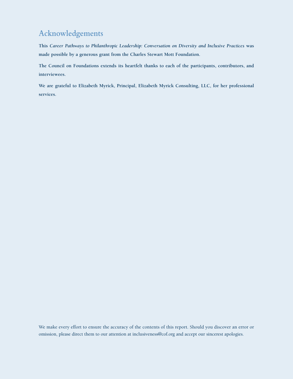## **Acknowledgements**

**This** *Career Pathways to Philanthropic Leadership: Conversation on Diversity and Inclusive Practices* **was made possible by a generous grant from the Charles Stewart Mott Foundation.**

**The Council on Foundations extends its heartfelt thanks to each of the participants, contributors, and interviewees.**

**We are grateful to Elizabeth Myrick, Principal, Elizabeth Myrick Consulting, LLC, for her professional services.**

We make every effort to ensure the accuracy of the contents of this report. Should you discover an error or omission, please direct them to our attention at inclusiveness@cof.org and accept our sincerest apologies.